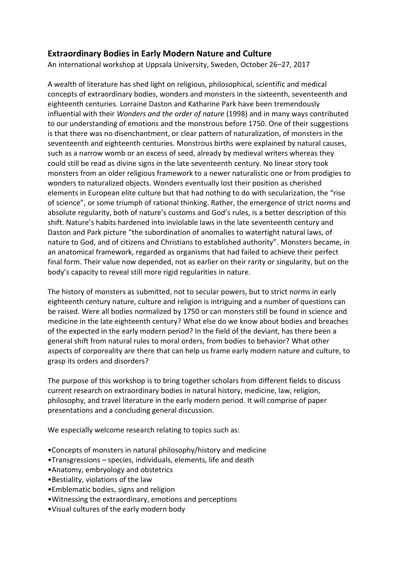## **Extraordinary Bodies in Early Modern Nature and Culture**

An international workshop at Uppsala University, Sweden, October 26–27, 2017

A wealth of literature has shed light on religious, philosophical, scientific and medical concepts of extraordinary bodies, wonders and monsters in the sixteenth, seventeenth and eighteenth centuries. Lorraine Daston and Katharine Park have been tremendously influential with their *Wonders and the order of nature* (1998) and in many ways contributed to our understanding of emotions and the monstrous before 1750. One of their suggestions is that there was no disenchantment, or clear pattern of naturalization, of monsters in the seventeenth and eighteenth centuries. Monstrous births were explained by natural causes, such as a narrow womb or an excess of seed, already by medieval writers whereas they could still be read as divine signs in the late seventeenth century. No linear story took monsters from an older religious framework to a newer naturalistic one or from prodigies to wonders to naturalized objects. Wonders eventually lost their position as cherished elements in European elite culture but that had nothing to do with secularization, the "rise of science", or some triumph of rational thinking. Rather, the emergence of strict norms and absolute regularity, both of nature's customs and God's rules, is a better description of this shift. Nature's habits hardened into inviolable laws in the late seventeenth century and Daston and Park picture "the subordination of anomalies to watertight natural laws, of nature to God, and of citizens and Christians to established authority". Monsters became, in an anatomical framework, regarded as organisms that had failed to achieve their perfect final form. Their value now depended, not as earlier on their rarity or singularity, but on the body's capacity to reveal still more rigid regularities in nature.

The history of monsters as submitted, not to secular powers, but to strict norms in early eighteenth century nature, culture and religion is intriguing and a number of questions can be raised. Were all bodies normalized by 1750 or can monsters still be found in science and medicine in the late eighteenth century? What else do we know about bodies and breaches of the expected in the early modern period? In the field of the deviant, has there been a general shift from natural rules to moral orders, from bodies to behavior? What other aspects of corporeality are there that can help us frame early modern nature and culture, to grasp its orders and disorders?

The purpose of this workshop is to bring together scholars from different fields to discuss current research on extraordinary bodies in natural history, medicine, law, religion, philosophy, and travel literature in the early modern period. It will comprise of paper presentations and a concluding general discussion.

We especially welcome research relating to topics such as:

- •Concepts of monsters in natural philosophy/history and medicine
- •Transgressions species, individuals, elements, life and death
- •Anatomy, embryology and obstetrics
- •Bestiality, violations of the law
- •Emblematic bodies, signs and religion
- •Witnessing the extraordinary, emotions and perceptions
- •Visual cultures of the early modern body